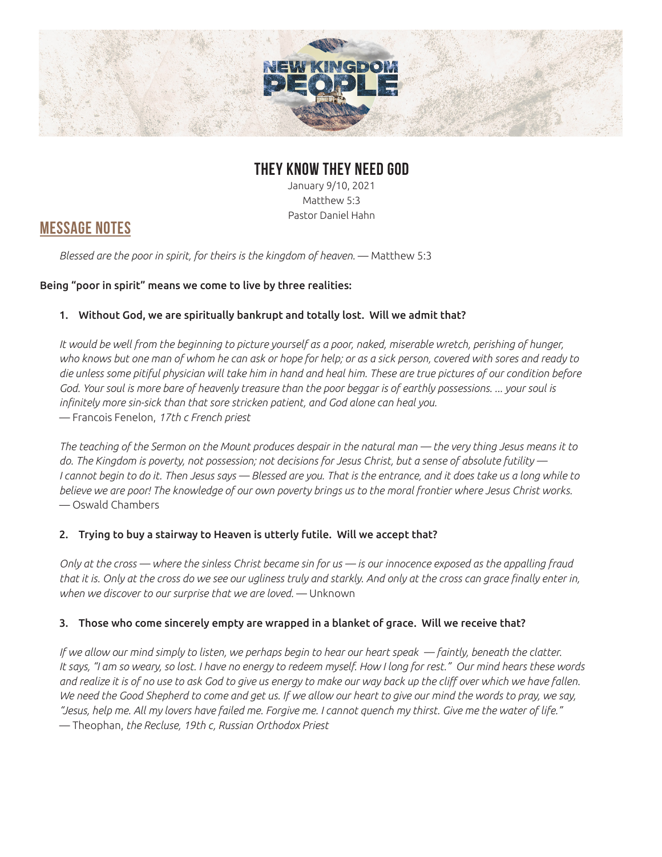

### **THEY KNOW THEY NEED GOD**

January 9/10, 2021 Matthew 5:3 Pastor Daniel Hahn

## **MESSAGE NOTES**

*Blessed are the poor in spirit, for theirs is the kingdom of heaven.* — Matthew 5:3

#### Being "poor in spirit" means we come to live by three realities:

#### 1. Without God, we are spiritually bankrupt and totally lost. Will we admit that?

*It would be well from the beginning to picture yourself as a poor, naked, miserable wretch, perishing of hunger, who knows but one man of whom he can ask or hope for help; or as a sick person, covered with sores and ready to die unless some pitiful physician will take him in hand and heal him. These are true pictures of our condition before God. Your soul is more bare of heavenly treasure than the poor beggar is of earthly possessions. ... your soul is infinitely more sin-sick than that sore stricken patient, and God alone can heal you.*  — Francois Fenelon, *17th c French priest*

*The teaching of the Sermon on the Mount produces despair in the natural man — the very thing Jesus means it to do. The Kingdom is poverty, not possession; not decisions for Jesus Christ, but a sense of absolute futility — I cannot begin to do it. Then Jesus says — Blessed are you. That is the entrance, and it does take us a long while to believe we are poor! The knowledge of our own poverty brings us to the moral frontier where Jesus Christ works.*  — Oswald Chambers

#### 2. Trying to buy a stairway to Heaven is utterly futile. Will we accept that?

*Only at the cross — where the sinless Christ became sin for us — is our innocence exposed as the appalling fraud that it is. Only at the cross do we see our ugliness truly and starkly. And only at the cross can grace finally enter in, when we discover to our surprise that we are loved.* — Unknown

#### 3. Those who come sincerely empty are wrapped in a blanket of grace. Will we receive that?

*If we allow our mind simply to listen, we perhaps begin to hear our heart speak — faintly, beneath the clatter. It says, "I am so weary, so lost. I have no energy to redeem myself. How I long for rest." Our mind hears these words and realize it is of no use to ask God to give us energy to make our way back up the cliff over which we have fallen.*  We need the Good Shepherd to come and get us. If we allow our heart to give our mind the words to pray, we say, *"Jesus, help me. All my lovers have failed me. Forgive me. I cannot quench my thirst. Give me the water of life."*  — Theophan, *the Recluse, 19th c, Russian Orthodox Priest*